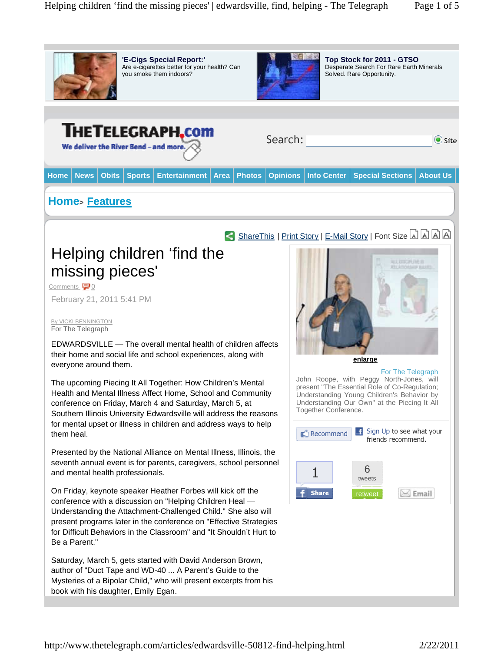

**'E-Cigs Special Report:'**  Are e-cigarettes better for your health? Can you smoke them indoors?



**Top Stock for 2011 - GTSO**  Desperate Search For Rare Earth Minerals Solved. Rare Opportunity.

## **THETELEGRAPH.com**

We deliver the River Bend - and more.

| Search: |  |
|---------|--|
|         |  |
|         |  |

 $\odot$  Site

**Home News Obits Sports Entertainment Area Photos Opinions Info Center Special Sections About Us**

## **Home<sup>&</sup>gt; Features**



Comments 0

February 21, 2011 5:41 PM

By VICKI BENNINGTON For The Telegraph

EDWARDSVILLE — The overall mental health of children affects their home and social life and school experiences, along with everyone around them.

The upcoming Piecing It All Together: How Children's Mental Health and Mental Illness Affect Home, School and Community conference on Friday, March 4 and Saturday, March 5, at Southern Illinois University Edwardsville will address the reasons for mental upset or illness in children and address ways to help them heal.

Presented by the National Alliance on Mental Illness, Illinois, the seventh annual event is for parents, caregivers, school personnel and mental health professionals.

On Friday, keynote speaker Heather Forbes will kick off the conference with a discussion on "Helping Children Heal — Understanding the Attachment-Challenged Child." She also will present programs later in the conference on "Effective Strategies for Difficult Behaviors in the Classroom" and "It Shouldn't Hurt to Be a Parent."

Saturday, March 5, gets started with David Anderson Brown, author of "Duct Tape and WD-40 ... A Parent's Guide to the Mysteries of a Bipolar Child," who will present excerpts from his book with his daughter, Emily Egan.



**enlarge**

For The Telegraph John Roope, with Peggy North-Jones, will present "The Essential Role of Co-Regulation; Understanding Young Children's Behavior by Understanding Our Own" at the Piecing It All Together Conference.

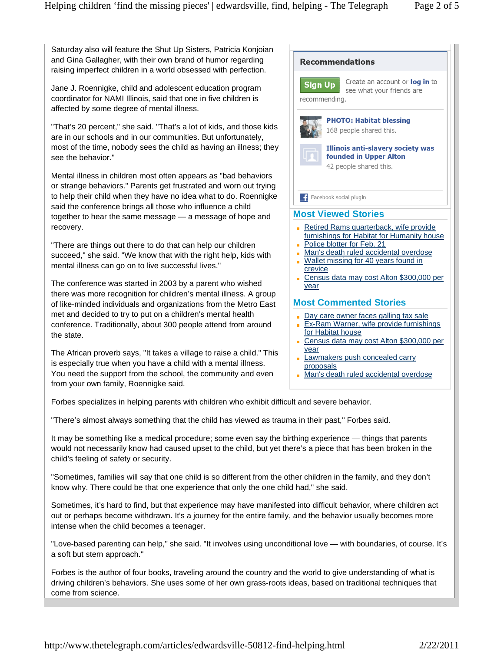Saturday also will feature the Shut Up Sisters, Patricia Konjoian and Gina Gallagher, with their own brand of humor regarding raising imperfect children in a world obsessed with perfection.

Jane J. Roennigke, child and adolescent education program coordinator for NAMI Illinois, said that one in five children is affected by some degree of mental illness.

"That's 20 percent," she said. "That's a lot of kids, and those kids are in our schools and in our communities. But unfortunately, most of the time, nobody sees the child as having an illness; they see the behavior."

Mental illness in children most often appears as "bad behaviors or strange behaviors." Parents get frustrated and worn out trying to help their child when they have no idea what to do. Roennigke said the conference brings all those who influence a child together to hear the same message — a message of hope and recovery.

"There are things out there to do that can help our children succeed," she said. "We know that with the right help, kids with mental illness can go on to live successful lives."

The conference was started in 2003 by a parent who wished there was more recognition for children's mental illness. A group of like-minded individuals and organizations from the Metro East met and decided to try to put on a children's mental health conference. Traditionally, about 300 people attend from around the state.

The African proverb says, "It takes a village to raise a child." This is especially true when you have a child with a mental illness. You need the support from the school, the community and even from your own family, Roennigke said.



- Day care owner faces galling tax sale
- **Ex-Ram Warner, wife provide furnishings** for Habitat house
- Census data may cost Alton \$300,000 per year
- **Lawmakers push concealed carry** proposals
- Man's death ruled accidental overdose H.

Forbes specializes in helping parents with children who exhibit difficult and severe behavior.

"There's almost always something that the child has viewed as trauma in their past," Forbes said.

It may be something like a medical procedure; some even say the birthing experience — things that parents would not necessarily know had caused upset to the child, but yet there's a piece that has been broken in the child's feeling of safety or security.

"Sometimes, families will say that one child is so different from the other children in the family, and they don't know why. There could be that one experience that only the one child had," she said.

Sometimes, it's hard to find, but that experience may have manifested into difficult behavior, where children act out or perhaps become withdrawn. It's a journey for the entire family, and the behavior usually becomes more intense when the child becomes a teenager.

"Love-based parenting can help," she said. "It involves using unconditional love — with boundaries, of course. It's a soft but stern approach."

Forbes is the author of four books, traveling around the country and the world to give understanding of what is driving children's behaviors. She uses some of her own grass-roots ideas, based on traditional techniques that come from science.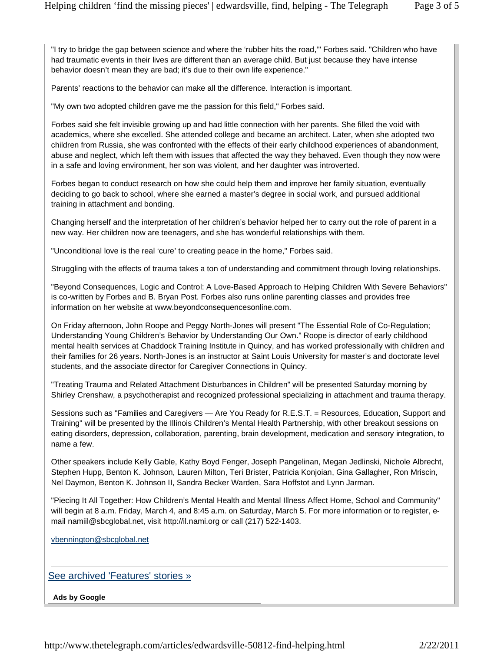"I try to bridge the gap between science and where the 'rubber hits the road,'" Forbes said. "Children who have had traumatic events in their lives are different than an average child. But just because they have intense behavior doesn't mean they are bad; it's due to their own life experience."

Parents' reactions to the behavior can make all the difference. Interaction is important.

"My own two adopted children gave me the passion for this field," Forbes said.

Forbes said she felt invisible growing up and had little connection with her parents. She filled the void with academics, where she excelled. She attended college and became an architect. Later, when she adopted two children from Russia, she was confronted with the effects of their early childhood experiences of abandonment, abuse and neglect, which left them with issues that affected the way they behaved. Even though they now were in a safe and loving environment, her son was violent, and her daughter was introverted.

Forbes began to conduct research on how she could help them and improve her family situation, eventually deciding to go back to school, where she earned a master's degree in social work, and pursued additional training in attachment and bonding.

Changing herself and the interpretation of her children's behavior helped her to carry out the role of parent in a new way. Her children now are teenagers, and she has wonderful relationships with them.

"Unconditional love is the real 'cure' to creating peace in the home," Forbes said.

Struggling with the effects of trauma takes a ton of understanding and commitment through loving relationships.

"Beyond Consequences, Logic and Control: A Love-Based Approach to Helping Children With Severe Behaviors" is co-written by Forbes and B. Bryan Post. Forbes also runs online parenting classes and provides free information on her website at www.beyondconsequencesonline.com.

On Friday afternoon, John Roope and Peggy North-Jones will present "The Essential Role of Co-Regulation; Understanding Young Children's Behavior by Understanding Our Own." Roope is director of early childhood mental health services at Chaddock Training Institute in Quincy, and has worked professionally with children and their families for 26 years. North-Jones is an instructor at Saint Louis University for master's and doctorate level students, and the associate director for Caregiver Connections in Quincy.

"Treating Trauma and Related Attachment Disturbances in Children" will be presented Saturday morning by Shirley Crenshaw, a psychotherapist and recognized professional specializing in attachment and trauma therapy.

Sessions such as "Families and Caregivers — Are You Ready for R.E.S.T. = Resources, Education, Support and Training" will be presented by the Illinois Children's Mental Health Partnership, with other breakout sessions on eating disorders, depression, collaboration, parenting, brain development, medication and sensory integration, to name a few.

Other speakers include Kelly Gable, Kathy Boyd Fenger, Joseph Pangelinan, Megan Jedlinski, Nichole Albrecht, Stephen Hupp, Benton K. Johnson, Lauren Milton, Teri Brister, Patricia Konjoian, Gina Gallagher, Ron Mriscin, Nel Daymon, Benton K. Johnson II, Sandra Becker Warden, Sara Hoffstot and Lynn Jarman.

"Piecing It All Together: How Children's Mental Health and Mental Illness Affect Home, School and Community" will begin at 8 a.m. Friday, March 4, and 8:45 a.m. on Saturday, March 5. For more information or to register, email namiil@sbcglobal.net, visit http://il.nami.org or call (217) 522-1403.

vbennington@sbcglobal.net

See archived 'Features' stories »

**Ads by Google**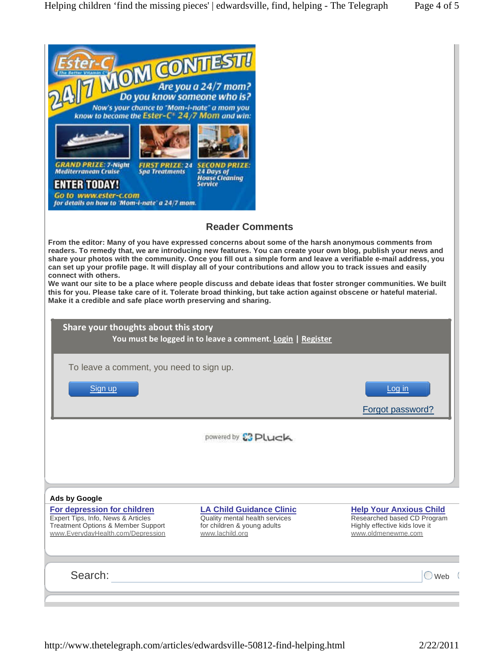